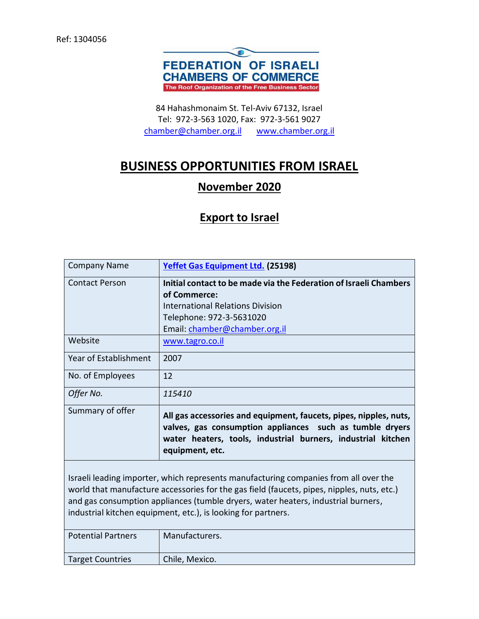

84 Hahashmonaim St. Tel-Aviv 67132, Israel Tel: 972-3-563 1020, Fax: 972-3-561 9027 [chamber@chamber.org.il](mailto:chamber@chamber.org.il) [www.chamber.org.il](http://www.chamber.org.il/)

## **BUSINESS OPPORTUNITIES FROM ISRAEL**

## **November 2020**

## **Export to Israel**

| <b>Company Name</b>                                                                                                                                                                                                                                                                                                                      | Yeffet Gas Equipment Ltd. (25198)                                                                                                                                                                                |
|------------------------------------------------------------------------------------------------------------------------------------------------------------------------------------------------------------------------------------------------------------------------------------------------------------------------------------------|------------------------------------------------------------------------------------------------------------------------------------------------------------------------------------------------------------------|
| <b>Contact Person</b>                                                                                                                                                                                                                                                                                                                    | Initial contact to be made via the Federation of Israeli Chambers<br>of Commerce:<br><b>International Relations Division</b><br>Telephone: 972-3-5631020<br>Email: chamber@chamber.org.il                        |
| Website                                                                                                                                                                                                                                                                                                                                  | www.tagro.co.il                                                                                                                                                                                                  |
| Year of Establishment                                                                                                                                                                                                                                                                                                                    | 2007                                                                                                                                                                                                             |
| No. of Employees                                                                                                                                                                                                                                                                                                                         | 12                                                                                                                                                                                                               |
| Offer No.                                                                                                                                                                                                                                                                                                                                | <i>115410</i>                                                                                                                                                                                                    |
| Summary of offer                                                                                                                                                                                                                                                                                                                         | All gas accessories and equipment, faucets, pipes, nipples, nuts,<br>valves, gas consumption appliances such as tumble dryers<br>water heaters, tools, industrial burners, industrial kitchen<br>equipment, etc. |
| Israeli leading importer, which represents manufacturing companies from all over the<br>world that manufacture accessories for the gas field (faucets, pipes, nipples, nuts, etc.)<br>and gas consumption appliances (tumble dryers, water heaters, industrial burners,<br>industrial kitchen equipment, etc.), is looking for partners. |                                                                                                                                                                                                                  |
| <b>Potential Partners</b>                                                                                                                                                                                                                                                                                                                | Manufacturers.                                                                                                                                                                                                   |

Target Countries | Chile, Mexico.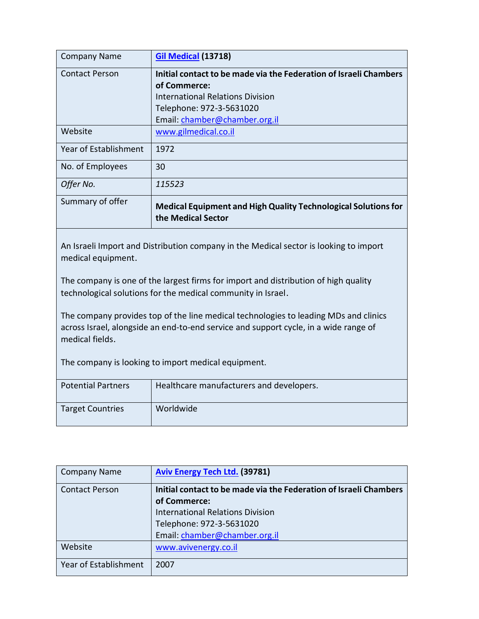| <b>Company Name</b>   | <b>Gil Medical (13718)</b>                                                                  |
|-----------------------|---------------------------------------------------------------------------------------------|
| <b>Contact Person</b> | Initial contact to be made via the Federation of Israeli Chambers                           |
|                       | of Commerce:                                                                                |
|                       | <b>International Relations Division</b>                                                     |
|                       | Telephone: 972-3-5631020                                                                    |
|                       | Email: chamber@chamber.org.il                                                               |
| Website               | www.gilmedical.co.il                                                                        |
| Year of Establishment | 1972                                                                                        |
| No. of Employees      | 30                                                                                          |
| Offer No.             | 115523                                                                                      |
| Summary of offer      | <b>Medical Equipment and High Quality Technological Solutions for</b><br>the Medical Sector |

An Israeli Import and Distribution company in the Medical sector is looking to import medical equipment.

The company is one of the largest firms for import and distribution of high quality technological solutions for the medical community in Israel.

The company provides top of the line medical technologies to leading MDs and clinics across Israel, alongside an end-to-end service and support cycle, in a wide range of medical fields.

The company is looking to import medical equipment.

| Potential Partners      | Healthcare manufacturers and developers. |
|-------------------------|------------------------------------------|
| <b>Target Countries</b> | Worldwide                                |

| <b>Company Name</b>   | <b>Aviv Energy Tech Ltd. (39781)</b>                              |
|-----------------------|-------------------------------------------------------------------|
| <b>Contact Person</b> | Initial contact to be made via the Federation of Israeli Chambers |
|                       | of Commerce:                                                      |
|                       | <b>International Relations Division</b>                           |
|                       | Telephone: 972-3-5631020                                          |
|                       | Email: chamber@chamber.org.il                                     |
| Website               | www.avivenergy.co.il                                              |
| Year of Establishment | 2007                                                              |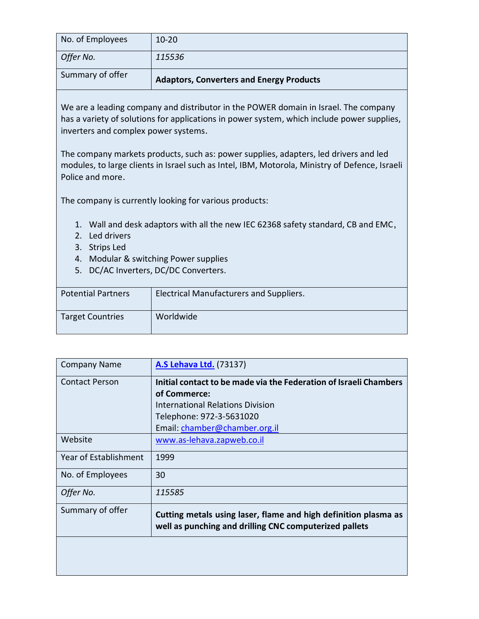| Summary of offer | <b>Adaptors, Converters and Energy Products</b> |
|------------------|-------------------------------------------------|
| Offer No.        | 115536                                          |
| No. of Employees | $10-20$                                         |

We are a leading company and distributor in the POWER domain in Israel. The company has a variety of solutions for applications in power system, which include power supplies, inverters and complex power systems.

The company markets products, such as: power supplies, adapters, led drivers and led modules, to large clients in Israel such as Intel, IBM, Motorola, Ministry of Defence, Israeli Police and more.

The company is currently looking for various products:

- 1. Wall and desk adaptors with all the new IEC 62368 safety standard, CB and EMC,
- 2. Led drivers
- 3. Strips Led
- 4. Modular & switching Power supplies
- 5. DC/AC Inverters, DC/DC Converters.

| <b>Potential Partners</b> | Electrical Manufacturers and Suppliers. |
|---------------------------|-----------------------------------------|
| <b>Target Countries</b>   | Worldwide                               |

| <b>Company Name</b>   | <b>A.S Lehava Ltd. (73137)</b>                                                                                            |
|-----------------------|---------------------------------------------------------------------------------------------------------------------------|
| <b>Contact Person</b> | Initial contact to be made via the Federation of Israeli Chambers                                                         |
|                       | of Commerce:                                                                                                              |
|                       | <b>International Relations Division</b>                                                                                   |
|                       | Telephone: 972-3-5631020                                                                                                  |
|                       | Email: chamber@chamber.org.il                                                                                             |
| Website               | www.as-lehava.zapweb.co.il                                                                                                |
| Year of Establishment | 1999                                                                                                                      |
| No. of Employees      | 30                                                                                                                        |
| Offer No.             | 115585                                                                                                                    |
| Summary of offer      | Cutting metals using laser, flame and high definition plasma as<br>well as punching and drilling CNC computerized pallets |
|                       |                                                                                                                           |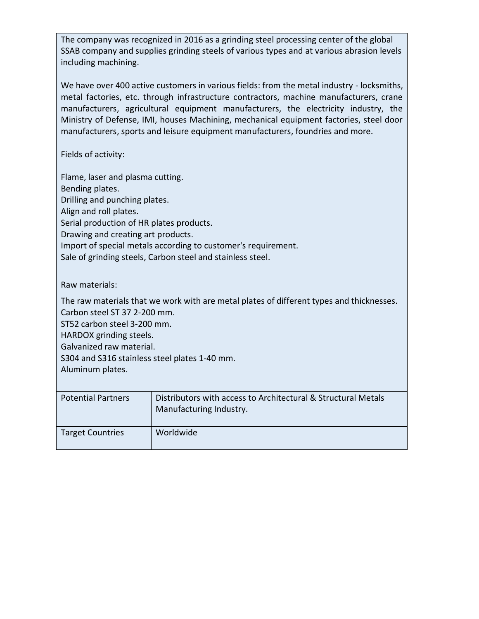The company was recognized in 2016 as a grinding steel processing center of the global SSAB company and supplies grinding steels of various types and at various abrasion levels including machining.

We have over 400 active customers in various fields: from the metal industry - locksmiths, metal factories, etc. through infrastructure contractors, machine manufacturers, crane manufacturers, agricultural equipment manufacturers, the electricity industry, the Ministry of Defense, IMI, houses Machining, mechanical equipment factories, steel door manufacturers, sports and leisure equipment manufacturers, foundries and more.

Fields of activity:

Flame, laser and plasma cutting. Bending plates. Drilling and punching plates. Align and roll plates. Serial production of HR plates products. Drawing and creating art products. Import of special metals according to customer's requirement. Sale of grinding steels, Carbon steel and stainless steel.

Raw materials:

The raw materials that we work with are metal plates of different types and thicknesses. Carbon steel ST 37 2-200 mm.

ST52 carbon steel 3-200 mm.

HARDOX grinding steels.

Galvanized raw material.

S304 and S316 stainless steel plates 1-40 mm.

Aluminum plates.

| <b>Potential Partners</b> | Distributors with access to Architectural & Structural Metals<br>Manufacturing Industry. |
|---------------------------|------------------------------------------------------------------------------------------|
| <b>Target Countries</b>   | Worldwide                                                                                |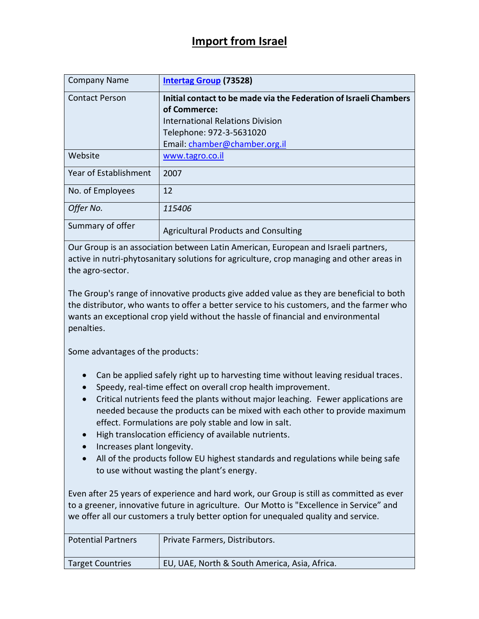## **Import from Israel**

| <b>Company Name</b>   | <b>Intertag Group (73528)</b>                                     |
|-----------------------|-------------------------------------------------------------------|
| <b>Contact Person</b> | Initial contact to be made via the Federation of Israeli Chambers |
|                       | of Commerce:                                                      |
|                       | International Relations Division                                  |
|                       | Telephone: 972-3-5631020                                          |
|                       | Email: chamber@chamber.org.il                                     |
| Website               | www.tagro.co.il                                                   |
| Year of Establishment | 2007                                                              |
| No. of Employees      | 12                                                                |
| Offer No.             | 115406                                                            |
| Summary of offer      | <b>Agricultural Products and Consulting</b>                       |

Our Group is an association between Latin American, European and Israeli partners, active in nutri-phytosanitary solutions for agriculture, crop managing and other areas in the agro-sector.

The Group's range of innovative products give added value as they are beneficial to both the distributor, who wants to offer a better service to his customers, and the farmer who wants an exceptional crop yield without the hassle of financial and environmental penalties.

Some advantages of the products:

- Can be applied safely right up to harvesting time without leaving residual traces.
- Speedy, real-time effect on overall crop health improvement.
- Critical nutrients feed the plants without major leaching. Fewer applications are needed because the products can be mixed with each other to provide maximum effect. Formulations are poly stable and low in salt.
- High translocation efficiency of available nutrients.
- Increases plant longevity.
- All of the products follow EU highest standards and regulations while being safe to use without wasting the plant's energy.

Even after 25 years of experience and hard work, our Group is still as committed as ever to a greener, innovative future in agriculture. Our Motto is "Excellence in Service" and we offer all our customers a truly better option for unequaled quality and service.

| <b>Potential Partners</b> | Private Farmers, Distributors.                |
|---------------------------|-----------------------------------------------|
| <b>Target Countries</b>   | EU, UAE, North & South America, Asia, Africa. |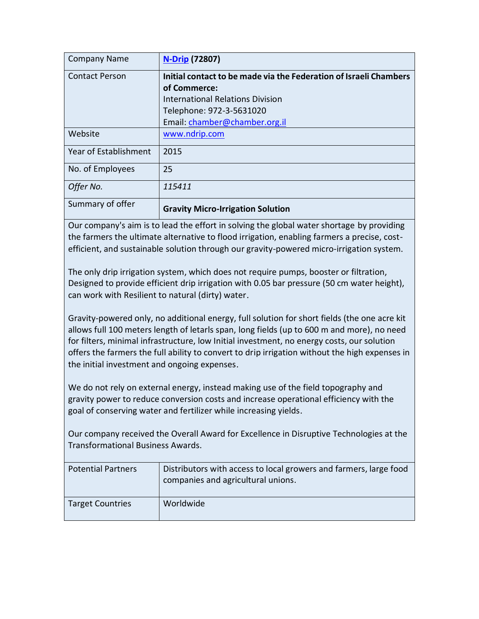| <b>Company Name</b>   | <b>N-Drip (72807)</b>                                             |
|-----------------------|-------------------------------------------------------------------|
| <b>Contact Person</b> | Initial contact to be made via the Federation of Israeli Chambers |
|                       | of Commerce:                                                      |
|                       | <b>International Relations Division</b>                           |
|                       | Telephone: 972-3-5631020                                          |
|                       | Email: chamber@chamber.org.il                                     |
| Website               | www.ndrip.com                                                     |
| Year of Establishment | 2015                                                              |
| No. of Employees      | 25                                                                |
| Offer No.             | 115411                                                            |
| Summary of offer      | <b>Gravity Micro-Irrigation Solution</b>                          |

Our company's aim is to lead the effort in solving the global water shortage by providing the farmers the ultimate alternative to flood irrigation, enabling farmers a precise, costefficient, and sustainable solution through our gravity-powered micro-irrigation system.

The only drip irrigation system, which does not require pumps, booster or filtration, Designed to provide efficient drip irrigation with 0.05 bar pressure (50 cm water height), can work with Resilient to natural (dirty) water.

Gravity-powered only, no additional energy, full solution for short fields (the one acre kit allows full 100 meters length of letarls span, long fields (up to 600 m and more), no need for filters, minimal infrastructure, low Initial investment, no energy costs, our solution offers the farmers the full ability to convert to drip irrigation without the high expenses in the initial investment and ongoing expenses.

We do not rely on external energy, instead making use of the field topography and gravity power to reduce conversion costs and increase operational efficiency with the goal of conserving water and fertilizer while increasing yields.

Our company received the Overall Award for Excellence in Disruptive Technologies at the Transformational Business Awards.

| <b>Potential Partners</b> | Distributors with access to local growers and farmers, large food<br>companies and agricultural unions. |
|---------------------------|---------------------------------------------------------------------------------------------------------|
| <b>Target Countries</b>   | Worldwide                                                                                               |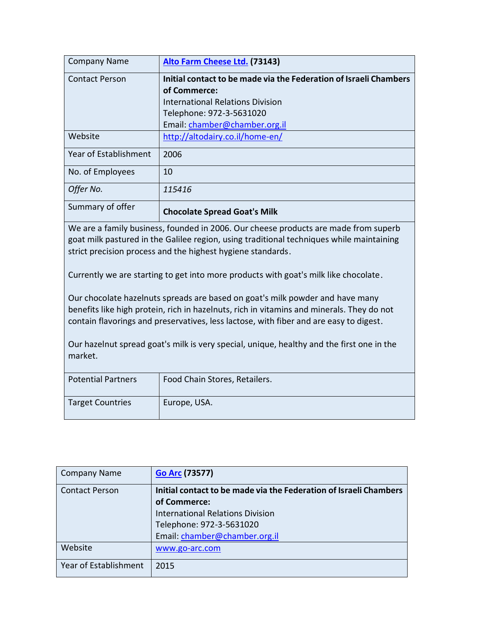| <b>Company Name</b>                                                                                                                                                                                                                                                  | Alto Farm Cheese Ltd. (73143)                                     |  |
|----------------------------------------------------------------------------------------------------------------------------------------------------------------------------------------------------------------------------------------------------------------------|-------------------------------------------------------------------|--|
| <b>Contact Person</b>                                                                                                                                                                                                                                                | Initial contact to be made via the Federation of Israeli Chambers |  |
|                                                                                                                                                                                                                                                                      | of Commerce:                                                      |  |
|                                                                                                                                                                                                                                                                      | <b>International Relations Division</b>                           |  |
|                                                                                                                                                                                                                                                                      | Telephone: 972-3-5631020                                          |  |
|                                                                                                                                                                                                                                                                      | Email: chamber@chamber.org.il                                     |  |
| Website                                                                                                                                                                                                                                                              | http://altodairy.co.il/home-en/                                   |  |
| Year of Establishment                                                                                                                                                                                                                                                | 2006                                                              |  |
| No. of Employees                                                                                                                                                                                                                                                     | 10                                                                |  |
| Offer No.                                                                                                                                                                                                                                                            | 115416                                                            |  |
| Summary of offer                                                                                                                                                                                                                                                     | <b>Chocolate Spread Goat's Milk</b>                               |  |
| We are a family business, founded in 2006. Our cheese products are made from superb<br>goat milk pastured in the Galilee region, using traditional techniques while maintaining<br>strict precision process and the highest hygiene standards.                       |                                                                   |  |
| Currently we are starting to get into more products with goat's milk like chocolate.                                                                                                                                                                                 |                                                                   |  |
| Our chocolate hazelnuts spreads are based on goat's milk powder and have many<br>benefits like high protein, rich in hazelnuts, rich in vitamins and minerals. They do not<br>contain flavorings and preservatives, less lactose, with fiber and are easy to digest. |                                                                   |  |
| Our hazelnut spread goat's milk is very special, unique, healthy and the first one in the<br>market.                                                                                                                                                                 |                                                                   |  |
| <b>Potential Partners</b>                                                                                                                                                                                                                                            | Food Chain Stores, Retailers.                                     |  |
| <b>Target Countries</b>                                                                                                                                                                                                                                              | Europe, USA.                                                      |  |
|                                                                                                                                                                                                                                                                      |                                                                   |  |

| <b>Company Name</b>   | <b>Go Arc (73577)</b>                                             |
|-----------------------|-------------------------------------------------------------------|
| <b>Contact Person</b> | Initial contact to be made via the Federation of Israeli Chambers |
|                       | of Commerce:                                                      |
|                       | <b>International Relations Division</b>                           |
|                       | Telephone: 972-3-5631020                                          |
|                       | Email: chamber@chamber.org.il                                     |
| Website               | www.go-arc.com                                                    |
| Year of Establishment | 2015                                                              |